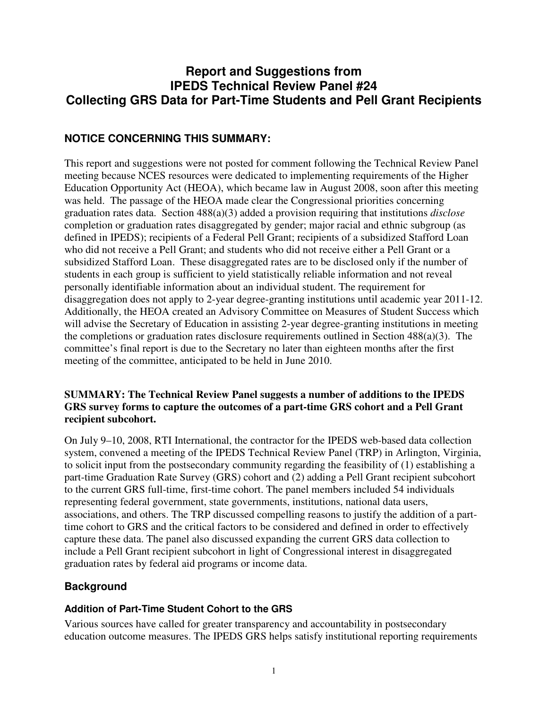# **Report and Suggestions from IPEDS Technical Review Panel #24 Collecting GRS Data for Part-Time Students and Pell Grant Recipients**

# **NOTICE CONCERNING THIS SUMMARY:**

This report and suggestions were not posted for comment following the Technical Review Panel meeting because NCES resources were dedicated to implementing requirements of the Higher Education Opportunity Act (HEOA), which became law in August 2008, soon after this meeting was held. The passage of the HEOA made clear the Congressional priorities concerning graduation rates data. Section 488(a)(3) added a provision requiring that institutions *disclose* completion or graduation rates disaggregated by gender; major racial and ethnic subgroup (as defined in IPEDS); recipients of a Federal Pell Grant; recipients of a subsidized Stafford Loan who did not receive a Pell Grant; and students who did not receive either a Pell Grant or a subsidized Stafford Loan. These disaggregated rates are to be disclosed only if the number of students in each group is sufficient to yield statistically reliable information and not reveal personally identifiable information about an individual student. The requirement for disaggregation does not apply to 2-year degree-granting institutions until academic year 2011-12. Additionally, the HEOA created an Advisory Committee on Measures of Student Success which will advise the Secretary of Education in assisting 2-year degree-granting institutions in meeting the completions or graduation rates disclosure requirements outlined in Section 488(a)(3). The committee's final report is due to the Secretary no later than eighteen months after the first meeting of the committee, anticipated to be held in June 2010.

#### **SUMMARY: The Technical Review Panel suggests a number of additions to the IPEDS GRS survey forms to capture the outcomes of a part-time GRS cohort and a Pell Grant recipient subcohort.**

On July 9–10, 2008, RTI International, the contractor for the IPEDS web-based data collection system, convened a meeting of the IPEDS Technical Review Panel (TRP) in Arlington, Virginia, to solicit input from the postsecondary community regarding the feasibility of (1) establishing a part-time Graduation Rate Survey (GRS) cohort and (2) adding a Pell Grant recipient subcohort to the current GRS full-time, first-time cohort. The panel members included 54 individuals representing federal government, state governments, institutions, national data users, associations, and others. The TRP discussed compelling reasons to justify the addition of a parttime cohort to GRS and the critical factors to be considered and defined in order to effectively capture these data. The panel also discussed expanding the current GRS data collection to include a Pell Grant recipient subcohort in light of Congressional interest in disaggregated graduation rates by federal aid programs or income data.

## **Background**

#### **Addition of Part-Time Student Cohort to the GRS**

Various sources have called for greater transparency and accountability in postsecondary education outcome measures. The IPEDS GRS helps satisfy institutional reporting requirements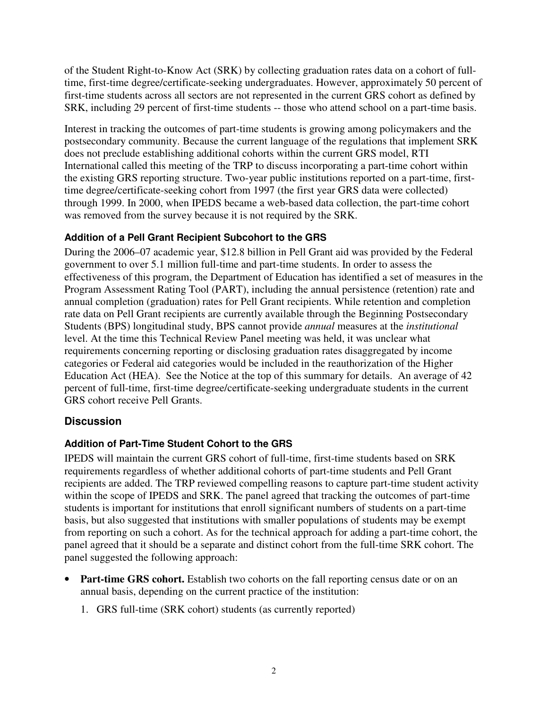of the Student Right-to-Know Act (SRK) by collecting graduation rates data on a cohort of fulltime, first-time degree/certificate-seeking undergraduates. However, approximately 50 percent of first-time students across all sectors are not represented in the current GRS cohort as defined by SRK, including 29 percent of first-time students -- those who attend school on a part-time basis.

Interest in tracking the outcomes of part-time students is growing among policymakers and the postsecondary community. Because the current language of the regulations that implement SRK does not preclude establishing additional cohorts within the current GRS model, RTI International called this meeting of the TRP to discuss incorporating a part-time cohort within the existing GRS reporting structure. Two-year public institutions reported on a part-time, firsttime degree/certificate-seeking cohort from 1997 (the first year GRS data were collected) through 1999. In 2000, when IPEDS became a web-based data collection, the part-time cohort was removed from the survey because it is not required by the SRK.

#### **Addition of a Pell Grant Recipient Subcohort to the GRS**

During the 2006–07 academic year, \$12.8 billion in Pell Grant aid was provided by the Federal government to over 5.1 million full-time and part-time students. In order to assess the effectiveness of this program, the Department of Education has identified a set of measures in the Program Assessment Rating Tool (PART), including the annual persistence (retention) rate and annual completion (graduation) rates for Pell Grant recipients. While retention and completion rate data on Pell Grant recipients are currently available through the Beginning Postsecondary Students (BPS) longitudinal study, BPS cannot provide *annual* measures at the *institutional*  level. At the time this Technical Review Panel meeting was held, it was unclear what requirements concerning reporting or disclosing graduation rates disaggregated by income categories or Federal aid categories would be included in the reauthorization of the Higher Education Act (HEA). See the Notice at the top of this summary for details. An average of 42 percent of full-time, first-time degree/certificate-seeking undergraduate students in the current GRS cohort receive Pell Grants.

## **Discussion**

## **Addition of Part-Time Student Cohort to the GRS**

IPEDS will maintain the current GRS cohort of full-time, first-time students based on SRK requirements regardless of whether additional cohorts of part-time students and Pell Grant recipients are added. The TRP reviewed compelling reasons to capture part-time student activity within the scope of IPEDS and SRK. The panel agreed that tracking the outcomes of part-time students is important for institutions that enroll significant numbers of students on a part-time basis, but also suggested that institutions with smaller populations of students may be exempt from reporting on such a cohort. As for the technical approach for adding a part-time cohort, the panel agreed that it should be a separate and distinct cohort from the full-time SRK cohort. The panel suggested the following approach:

- **Part-time GRS cohort.** Establish two cohorts on the fall reporting census date or on an annual basis, depending on the current practice of the institution:
	- 1. GRS full-time (SRK cohort) students (as currently reported)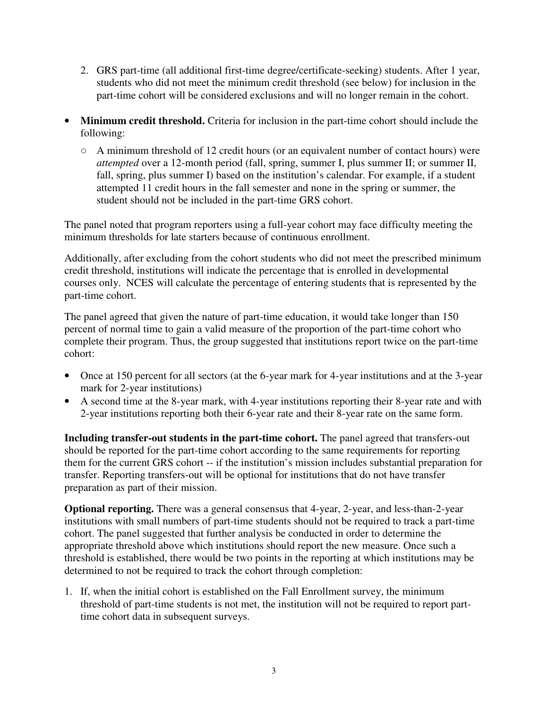- 2. GRS part-time (all additional first-time degree/certificate-seeking) students. After 1 year, students who did not meet the minimum credit threshold (see below) for inclusion in the part-time cohort will be considered exclusions and will no longer remain in the cohort.
- **Minimum credit threshold.** Criteria for inclusion in the part-time cohort should include the following:
	- $\circ$  A minimum threshold of 12 credit hours (or an equivalent number of contact hours) were *attempted* over a 12-month period (fall, spring, summer I, plus summer II; or summer II, fall, spring, plus summer I) based on the institution's calendar. For example, if a student attempted 11 credit hours in the fall semester and none in the spring or summer, the student should not be included in the part-time GRS cohort.

The panel noted that program reporters using a full-year cohort may face difficulty meeting the minimum thresholds for late starters because of continuous enrollment.

Additionally, after excluding from the cohort students who did not meet the prescribed minimum credit threshold, institutions will indicate the percentage that is enrolled in developmental courses only. NCES will calculate the percentage of entering students that is represented by the part-time cohort.

The panel agreed that given the nature of part-time education, it would take longer than 150 percent of normal time to gain a valid measure of the proportion of the part-time cohort who complete their program. Thus, the group suggested that institutions report twice on the part-time cohort:

- Once at 150 percent for all sectors (at the 6-year mark for 4-year institutions and at the 3-year mark for 2-year institutions)
- A second time at the 8-year mark, with 4-year institutions reporting their 8-year rate and with 2-year institutions reporting both their 6-year rate and their 8-year rate on the same form.

**Including transfer-out students in the part-time cohort.** The panel agreed that transfers-out should be reported for the part-time cohort according to the same requirements for reporting them for the current GRS cohort -- if the institution's mission includes substantial preparation for transfer. Reporting transfers-out will be optional for institutions that do not have transfer preparation as part of their mission.

**Optional reporting.** There was a general consensus that 4-year, 2-year, and less-than-2-year institutions with small numbers of part-time students should not be required to track a part-time cohort. The panel suggested that further analysis be conducted in order to determine the appropriate threshold above which institutions should report the new measure. Once such a threshold is established, there would be two points in the reporting at which institutions may be determined to not be required to track the cohort through completion:

1. If, when the initial cohort is established on the Fall Enrollment survey, the minimum threshold of part-time students is not met, the institution will not be required to report parttime cohort data in subsequent surveys.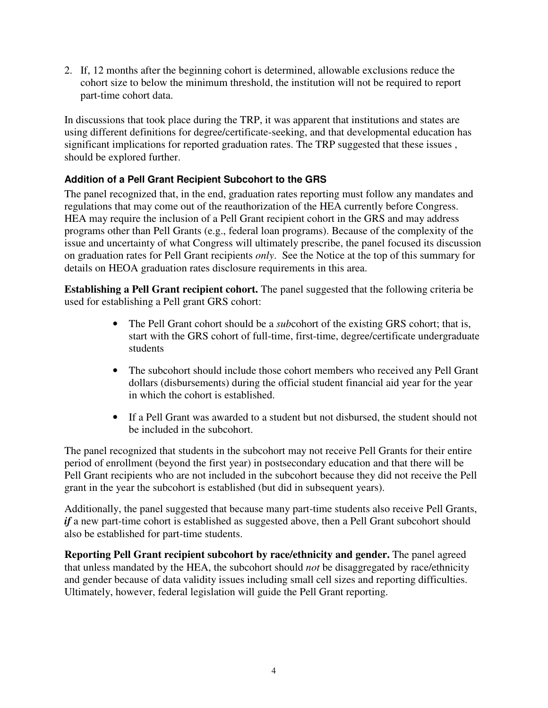2. If, 12 months after the beginning cohort is determined, allowable exclusions reduce the cohort size to below the minimum threshold, the institution will not be required to report part-time cohort data.

In discussions that took place during the TRP, it was apparent that institutions and states are using different definitions for degree/certificate-seeking, and that developmental education has significant implications for reported graduation rates. The TRP suggested that these issues , should be explored further.

## **Addition of a Pell Grant Recipient Subcohort to the GRS**

The panel recognized that, in the end, graduation rates reporting must follow any mandates and regulations that may come out of the reauthorization of the HEA currently before Congress. HEA may require the inclusion of a Pell Grant recipient cohort in the GRS and may address programs other than Pell Grants (e.g., federal loan programs). Because of the complexity of the issue and uncertainty of what Congress will ultimately prescribe, the panel focused its discussion on graduation rates for Pell Grant recipients *only*. See the Notice at the top of this summary for details on HEOA graduation rates disclosure requirements in this area.

**Establishing a Pell Grant recipient cohort.** The panel suggested that the following criteria be used for establishing a Pell grant GRS cohort:

- The Pell Grant cohort should be a *sub*cohort of the existing GRS cohort; that is, start with the GRS cohort of full-time, first-time, degree/certificate undergraduate students
- The subcohort should include those cohort members who received any Pell Grant dollars (disbursements) during the official student financial aid year for the year in which the cohort is established.
- If a Pell Grant was awarded to a student but not disbursed, the student should not be included in the subcohort.

The panel recognized that students in the subcohort may not receive Pell Grants for their entire period of enrollment (beyond the first year) in postsecondary education and that there will be Pell Grant recipients who are not included in the subcohort because they did not receive the Pell grant in the year the subcohort is established (but did in subsequent years).

Additionally, the panel suggested that because many part-time students also receive Pell Grants, *if* a new part-time cohort is established as suggested above, then a Pell Grant subcohort should also be established for part-time students.

**Reporting Pell Grant recipient subcohort by race/ethnicity and gender.** The panel agreed that unless mandated by the HEA, the subcohort should *not* be disaggregated by race/ethnicity and gender because of data validity issues including small cell sizes and reporting difficulties. Ultimately, however, federal legislation will guide the Pell Grant reporting.